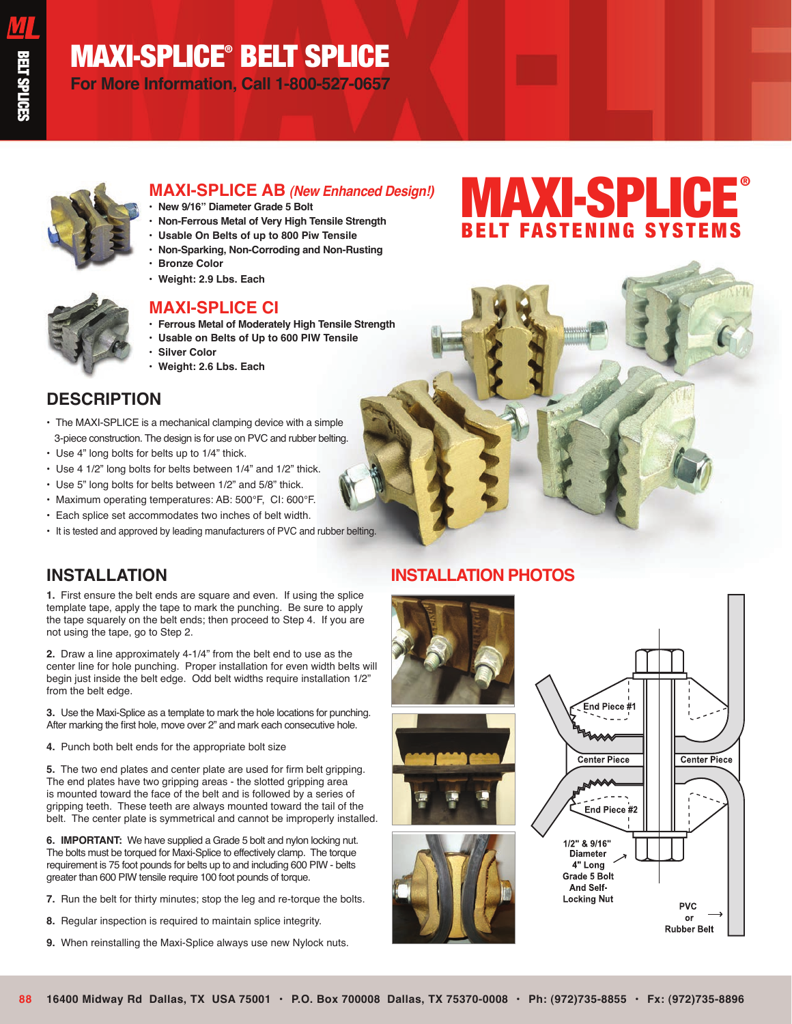## MAXI-SPLICE® BELT SPLICE

**For More Information, Call 1-800-527-0657**



### **MAXI-SPLICE AB** *(New Enhanced Design!)*

- **New 9/16" Diameter Grade 5 Bolt**
- **Non-Ferrous Metal of Very High Tensile Strength**
- **Usable On Belts of up to 800 Piw Tensile**
- **Non-Sparking, Non-Corroding and Non-Rusting**
- **Bronze Color**
- **Weight: 2.9 Lbs. Each**



### **MAXI-SPLICE CI**

- **Ferrous Metal of Moderately High Tensile Strength**
- **Usable on Belts of Up to 600 PIW Tensile**
- **Silver Color**
- **Weight: 2.6 Lbs. Each**

### **DESCRIPTION**

- The MAXI-SPLICE is a mechanical clamping device with a simple 3-piece construction. The design is for use on PVC and rubber belting.
- Use 4" long bolts for belts up to 1/4" thick.
- Use 4 1/2" long bolts for belts between 1/4" and 1/2" thick.
- Use 5" long bolts for belts between 1/2" and 5/8" thick.
- Maximum operating temperatures: AB: 500°F, CI: 600°F.
- Each splice set accommodates two inches of belt width.
- It is tested and approved by leading manufacturers of PVC and rubber belting.

## **INSTALLATION**

**1.**  First ensure the belt ends are square and even. If using the splice template tape, apply the tape to mark the punching. Be sure to apply the tape squarely on the belt ends; then proceed to Step 4. If you are not using the tape, go to Step 2.

**2.** Draw a line approximately 4-1/4" from the belt end to use as the center line for hole punching. Proper installation for even width belts will begin just inside the belt edge. Odd belt widths require installation 1/2" from the belt edge.

**3.** Use the Maxi-Splice as a template to mark the hole locations for punching. After marking the first hole, move over 2" and mark each consecutive hole.

**4.** Punch both belt ends for the appropriate bolt size

**5.** The two end plates and center plate are used for firm belt gripping. The end plates have two gripping areas - the slotted gripping area is mounted toward the face of the belt and is followed by a series of gripping teeth. These teeth are always mounted toward the tail of the belt. The center plate is symmetrical and cannot be improperly installed.

**6. IMPORTANT:** We have supplied a Grade 5 bolt and nylon locking nut. The bolts must be torqued for Maxi-Splice to effectively clamp. The torque requirement is 75 foot pounds for belts up to and including 600 PIW - belts greater than 600 PIW tensile require 100 foot pounds of torque.

- **7.** Run the belt for thirty minutes; stop the leg and re-torque the bolts.
- **8.** Regular inspection is required to maintain splice integrity.
- **9.** When reinstalling the Maxi-Splice always use new Nylock nuts.

## **INSTALLATION PHOTOS**



# **MAXI-SPLICE®** BELT FASTENING SYSTEMS